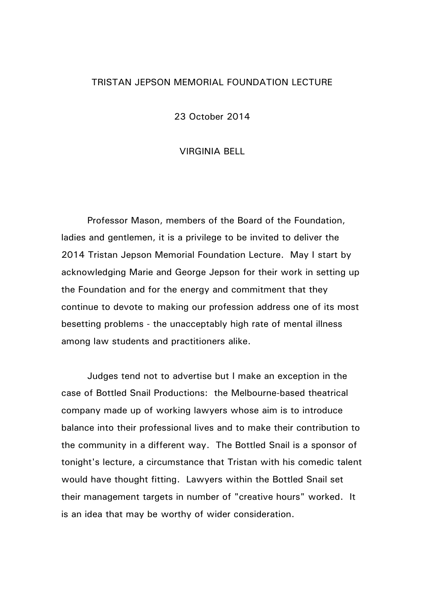## TRISTAN JEPSON MEMORIAL FOUNDATION LECTURE

23 October 2014

## VIRGINIA BELL

Professor Mason, members of the Board of the Foundation, ladies and gentlemen, it is a privilege to be invited to deliver the 2014 Tristan Jepson Memorial Foundation Lecture. May I start by acknowledging Marie and George Jepson for their work in setting up the Foundation and for the energy and commitment that they continue to devote to making our profession address one of its most besetting problems - the unacceptably high rate of mental illness among law students and practitioners alike.

Judges tend not to advertise but I make an exception in the case of Bottled Snail Productions: the Melbourne-based theatrical company made up of working lawyers whose aim is to introduce balance into their professional lives and to make their contribution to the community in a different way. The Bottled Snail is a sponsor of tonight's lecture, a circumstance that Tristan with his comedic talent would have thought fitting. Lawyers within the Bottled Snail set their management targets in number of "creative hours" worked. It is an idea that may be worthy of wider consideration.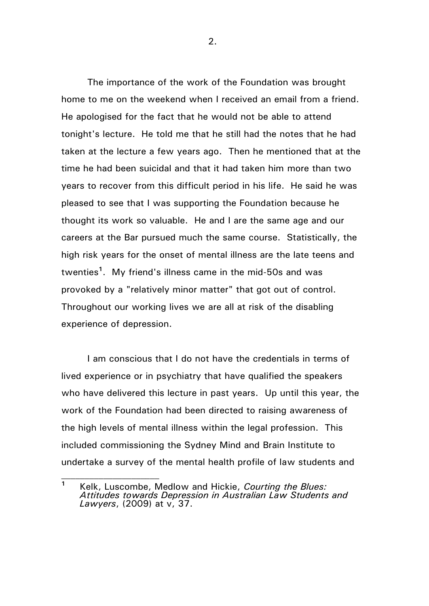The importance of the work of the Foundation was brought home to me on the weekend when I received an email from a friend. He apologised for the fact that he would not be able to attend tonight's lecture. He told me that he still had the notes that he had taken at the lecture a few years ago. Then he mentioned that at the time he had been suicidal and that it had taken him more than two years to recover from this difficult period in his life. He said he was pleased to see that I was supporting the Foundation because he thought its work so valuable. He and I are the same age and our careers at the Bar pursued much the same course. Statistically, the high risk years for the onset of mental illness are the late teens and twenties**<sup>1</sup>** . My friend's illness came in the mid-50s and was provoked by a "relatively minor matter" that got out of control. Throughout our working lives we are all at risk of the disabling experience of depression.

I am conscious that I do not have the credentials in terms of lived experience or in psychiatry that have qualified the speakers who have delivered this lecture in past years. Up until this year, the work of the Foundation had been directed to raising awareness of the high levels of mental illness within the legal profession. This included commissioning the Sydney Mind and Brain Institute to undertake a survey of the mental health profile of law students and

**<sup>1</sup>** Kelk, Luscombe, Medlow and Hickie, *Courting the Blues: Attitudes towards Depression in Australian Law Students and Lawyers*, (2009) at v, 37.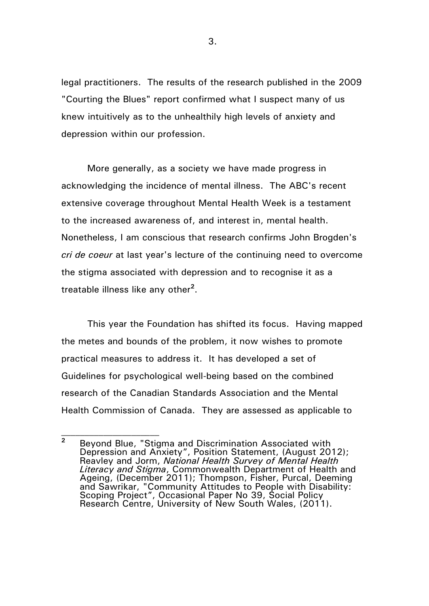legal practitioners. The results of the research published in the 2009 "Courting the Blues" report confirmed what I suspect many of us knew intuitively as to the unhealthily high levels of anxiety and depression within our profession.

More generally, as a society we have made progress in acknowledging the incidence of mental illness. The ABC's recent extensive coverage throughout Mental Health Week is a testament to the increased awareness of, and interest in, mental health. Nonetheless, I am conscious that research confirms John Brogden's *cri de coeur* at last year's lecture of the continuing need to overcome the stigma associated with depression and to recognise it as a treatable illness like any other**<sup>2</sup>** .

This year the Foundation has shifted its focus. Having mapped the metes and bounds of the problem, it now wishes to promote practical measures to address it. It has developed a set of Guidelines for psychological well-being based on the combined research of the Canadian Standards Association and the Mental Health Commission of Canada. They are assessed as applicable to

**<sup>2</sup>** Beyond Blue, "Stigma and Discrimination Associated with Depression and Anxiety", Position Statement, (August 2012); Reavley and Jorm, *National Health Survey of Mental Health Literacy and Stigma*, Commonwealth Department of Health and Ageing, (December 2011); Thompson, Fisher, Purcal, Deeming and Sawrikar, "Community Attitudes to People with Disability: Scoping Project", Occasional Paper No 39, Social Policy Research Centre, University of New South Wales, (2011).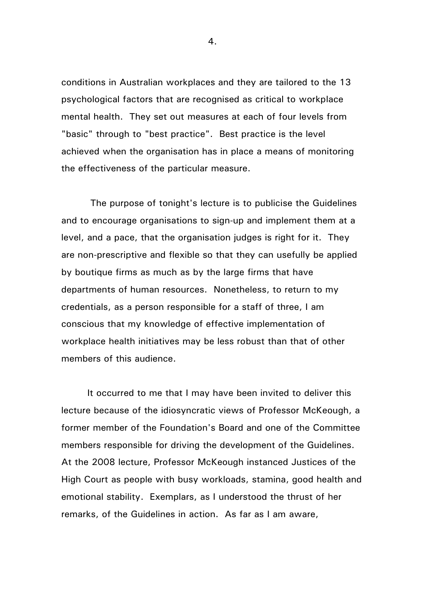conditions in Australian workplaces and they are tailored to the 13 psychological factors that are recognised as critical to workplace mental health. They set out measures at each of four levels from "basic" through to "best practice". Best practice is the level achieved when the organisation has in place a means of monitoring the effectiveness of the particular measure.

The purpose of tonight's lecture is to publicise the Guidelines and to encourage organisations to sign-up and implement them at a level, and a pace, that the organisation judges is right for it. They are non-prescriptive and flexible so that they can usefully be applied by boutique firms as much as by the large firms that have departments of human resources. Nonetheless, to return to my credentials, as a person responsible for a staff of three, I am conscious that my knowledge of effective implementation of workplace health initiatives may be less robust than that of other members of this audience.

It occurred to me that I may have been invited to deliver this lecture because of the idiosyncratic views of Professor McKeough, a former member of the Foundation's Board and one of the Committee members responsible for driving the development of the Guidelines. At the 2008 lecture, Professor McKeough instanced Justices of the High Court as people with busy workloads, stamina, good health and emotional stability. Exemplars, as I understood the thrust of her remarks, of the Guidelines in action. As far as I am aware,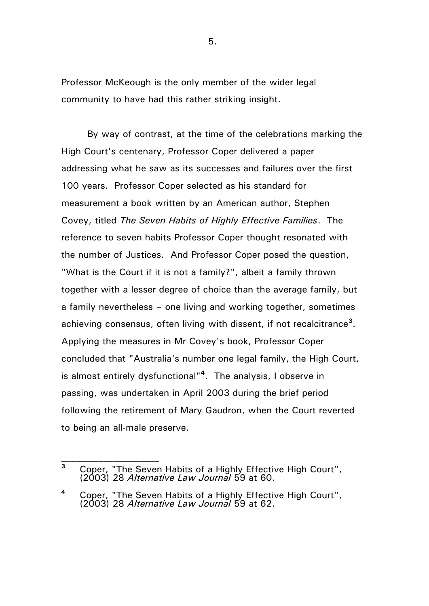Professor McKeough is the only member of the wider legal community to have had this rather striking insight.

By way of contrast, at the time of the celebrations marking the High Court's centenary, Professor Coper delivered a paper addressing what he saw as its successes and failures over the first 100 years. Professor Coper selected as his standard for measurement a book written by an American author, Stephen Covey, titled *The Seven Habits of Highly Effective Families*. The reference to seven habits Professor Coper thought resonated with the number of Justices. And Professor Coper posed the question, "What is the Court if it is not a family?", albeit a family thrown together with a lesser degree of choice than the average family, but a family nevertheless – one living and working together, sometimes achieving consensus, often living with dissent, if not recalcitrance**<sup>3</sup>** . Applying the measures in Mr Covey's book, Professor Coper concluded that "Australia's number one legal family, the High Court, is almost entirely dysfunctional"**<sup>4</sup>** . The analysis, I observe in passing, was undertaken in April 2003 during the brief period following the retirement of Mary Gaudron, when the Court reverted to being an all-male preserve.

**<sup>3</sup>** Coper, "The Seven Habits of a Highly Effective High Court", (2003) 28 *Alternative Law Journal* 59 at 60.

**<sup>4</sup>** Coper, "The Seven Habits of a Highly Effective High Court", (2003) 28 *Alternative Law Journal* 59 at 62.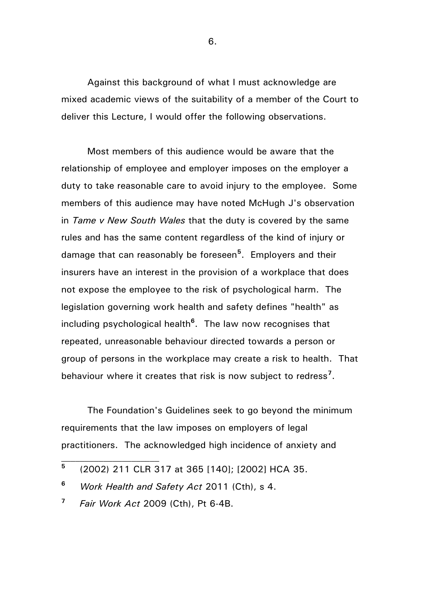Against this background of what I must acknowledge are mixed academic views of the suitability of a member of the Court to deliver this Lecture, I would offer the following observations.

Most members of this audience would be aware that the relationship of employee and employer imposes on the employer a duty to take reasonable care to avoid injury to the employee. Some members of this audience may have noted McHugh J's observation in *Tame v New South Wales* that the duty is covered by the same rules and has the same content regardless of the kind of injury or damage that can reasonably be foreseen**<sup>5</sup>** . Employers and their insurers have an interest in the provision of a workplace that does not expose the employee to the risk of psychological harm. The legislation governing work health and safety defines "health" as including psychological health**<sup>6</sup>** . The law now recognises that repeated, unreasonable behaviour directed towards a person or group of persons in the workplace may create a risk to health. That behaviour where it creates that risk is now subject to redress**<sup>7</sup>** .

The Foundation's Guidelines seek to go beyond the minimum requirements that the law imposes on employers of legal practitioners. The acknowledged high incidence of anxiety and

**<sup>5</sup>** (2002) 211 CLR 317 at 365 [140]; [2002] HCA 35.

**<sup>6</sup>** *Work Health and Safety Act* 2011 (Cth), s 4.

**<sup>7</sup>** *Fair Work Act* 2009 (Cth), Pt 6-4B.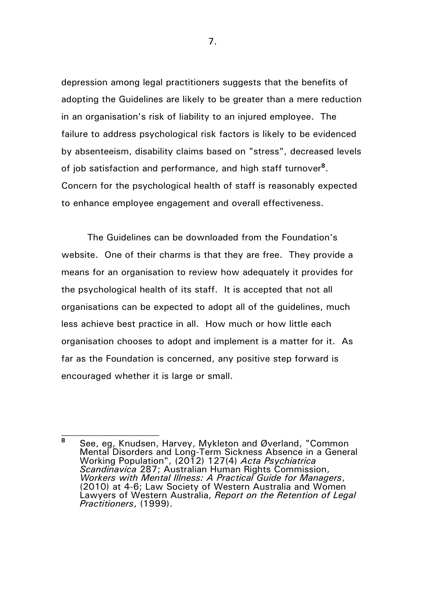depression among legal practitioners suggests that the benefits of adopting the Guidelines are likely to be greater than a mere reduction in an organisation's risk of liability to an injured employee. The failure to address psychological risk factors is likely to be evidenced by absenteeism, disability claims based on "stress", decreased levels of job satisfaction and performance, and high staff turnover**<sup>8</sup>** . Concern for the psychological health of staff is reasonably expected to enhance employee engagement and overall effectiveness.

The Guidelines can be downloaded from the Foundation's website. One of their charms is that they are free. They provide a means for an organisation to review how adequately it provides for the psychological health of its staff. It is accepted that not all organisations can be expected to adopt all of the guidelines, much less achieve best practice in all. How much or how little each organisation chooses to adopt and implement is a matter for it. As far as the Foundation is concerned, any positive step forward is encouraged whether it is large or small.

**<sup>8</sup>** See, eg, Knudsen, Harvey, Mykleton and Øverland, "Common Mental Disorders and Long-Term Sickness Absence in a General Working Population", (2012) 127(4) *Acta Psychiatrica Scandinavica* 287; Australian Human Rights Commission, *Workers with Mental Illness: A Practical Guide for Managers*, (2010) at 4-6; Law Society of Western Australia and Women Lawyers of Western Australia, *Report on the Retention of Legal Practitioners*, (1999).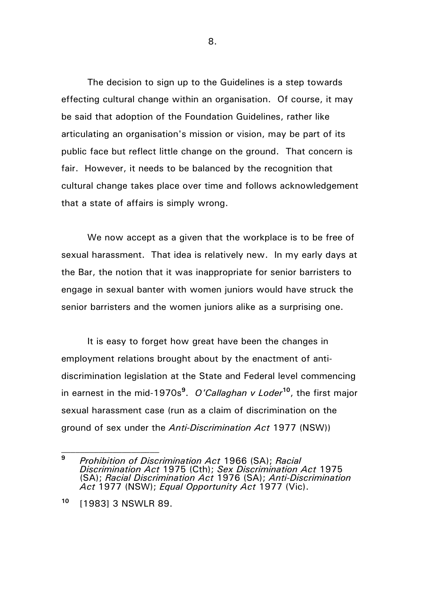The decision to sign up to the Guidelines is a step towards effecting cultural change within an organisation. Of course, it may be said that adoption of the Foundation Guidelines, rather like articulating an organisation's mission or vision, may be part of its public face but reflect little change on the ground. That concern is fair. However, it needs to be balanced by the recognition that cultural change takes place over time and follows acknowledgement that a state of affairs is simply wrong.

We now accept as a given that the workplace is to be free of sexual harassment. That idea is relatively new. In my early days at the Bar, the notion that it was inappropriate for senior barristers to engage in sexual banter with women juniors would have struck the senior barristers and the women juniors alike as a surprising one.

It is easy to forget how great have been the changes in employment relations brought about by the enactment of antidiscrimination legislation at the State and Federal level commencing in earnest in the mid-1970s**<sup>9</sup>** . *O'Callaghan v Loder***<sup>10</sup>**, the first major sexual harassment case (run as a claim of discrimination on the ground of sex under the *Anti-Discrimination Act* 1977 (NSW))

**<sup>9</sup>** *Prohibition of Discrimination Act* 1966 (SA); *Racial Discrimination Act* 1975 (Cth); *Sex Discrimination Act* 1975 (SA); *Racial Discrimination Act* 1976 (SA); *Anti-Discrimination Act* 1977 (NSW); *Equal Opportunity Act* 1977 (Vic).

**<sup>10</sup>** [1983] 3 NSWLR 89.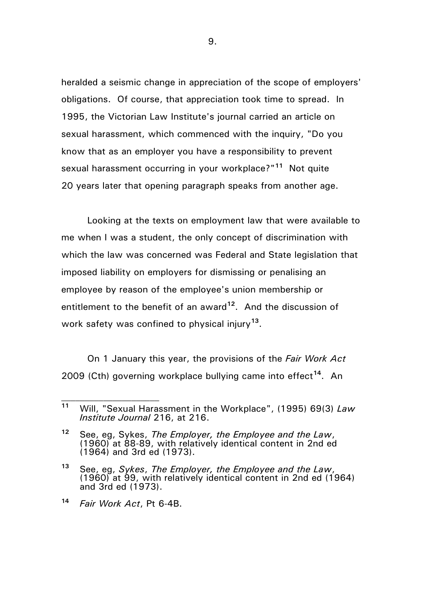heralded a seismic change in appreciation of the scope of employers' obligations. Of course, that appreciation took time to spread. In 1995, the Victorian Law Institute's journal carried an article on sexual harassment, which commenced with the inquiry, "Do you know that as an employer you have a responsibility to prevent sexual harassment occurring in your workplace?"**<sup>11</sup>** Not quite 20 years later that opening paragraph speaks from another age.

Looking at the texts on employment law that were available to me when I was a student, the only concept of discrimination with which the law was concerned was Federal and State legislation that imposed liability on employers for dismissing or penalising an employee by reason of the employee's union membership or entitlement to the benefit of an award**<sup>12</sup>** . And the discussion of work safety was confined to physical injury**<sup>13</sup>** .

On 1 January this year, the provisions of the *Fair Work Act* 2009 (Cth) governing workplace bullying came into effect**<sup>14</sup>** . An

**<sup>11</sup>** Will, "Sexual Harassment in the Workplace", (1995) 69(3) *Law Institute Journal* 216, at 216.

**<sup>12</sup>** See, eg, Sykes, *The Employer, the Employee and the Law*, (1960) at 88-89, with relatively identical content in 2nd ed (1964) and 3rd ed (1973).

**<sup>13</sup>** See, eg, *Sykes*, *The Employer, the Employee and the Law*, (1960) at 99, with relatively identical content in 2nd ed (1964) and 3rd ed (1973).

**<sup>14</sup>** *Fair Work Act*, Pt 6-4B.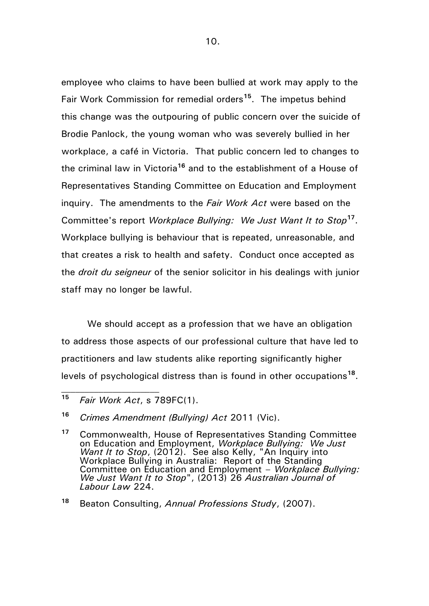employee who claims to have been bullied at work may apply to the Fair Work Commission for remedial orders**<sup>15</sup>**. The impetus behind this change was the outpouring of public concern over the suicide of Brodie Panlock, the young woman who was severely bullied in her workplace, a café in Victoria. That public concern led to changes to the criminal law in Victoria**<sup>16</sup>** and to the establishment of a House of Representatives Standing Committee on Education and Employment inquiry. The amendments to the *Fair Work Act* were based on the Committee's report *Workplace Bullying: We Just Want It to Stop***<sup>17</sup>** . Workplace bullying is behaviour that is repeated, unreasonable, and that creates a risk to health and safety. Conduct once accepted as the *droit du seigneur* of the senior solicitor in his dealings with junior staff may no longer be lawful.

We should accept as a profession that we have an obligation to address those aspects of our professional culture that have led to practitioners and law students alike reporting significantly higher levels of psychological distress than is found in other occupations**<sup>18</sup>** .

**<sup>15</sup>** *Fair Work Act*, s 789FC(1).

**<sup>16</sup>** *Crimes Amendment (Bullying) Act* 2011 (Vic).

**<sup>17</sup>** Commonwealth, House of Representatives Standing Committee on Education and Employment, *Workplace Bullying: We Just Want It to Stop,* (2012). See also Kelly, "An Inquiry into Workplace Bullying in Australia: Report of the Standing Committee on Education and Employment – *Workplace Bullying: We Just Want It to Stop*", (2013) 26 *Australian Journal of Labour Law* 224.

**<sup>18</sup>** Beaton Consulting, *Annual Professions Study*, (2007).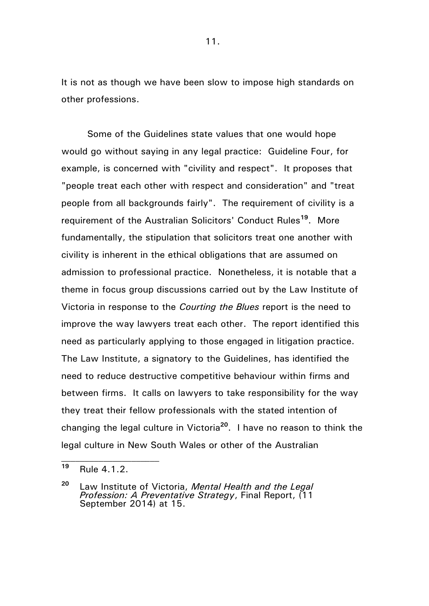It is not as though we have been slow to impose high standards on other professions.

Some of the Guidelines state values that one would hope would go without saying in any legal practice: Guideline Four, for example, is concerned with "civility and respect". It proposes that "people treat each other with respect and consideration" and "treat people from all backgrounds fairly". The requirement of civility is a requirement of the Australian Solicitors' Conduct Rules**<sup>19</sup>** . More fundamentally, the stipulation that solicitors treat one another with civility is inherent in the ethical obligations that are assumed on admission to professional practice. Nonetheless, it is notable that a theme in focus group discussions carried out by the Law Institute of Victoria in response to the *Courting the Blues* report is the need to improve the way lawyers treat each other. The report identified this need as particularly applying to those engaged in litigation practice. The Law Institute, a signatory to the Guidelines, has identified the need to reduce destructive competitive behaviour within firms and between firms. It calls on lawyers to take responsibility for the way they treat their fellow professionals with the stated intention of changing the legal culture in Victoria**<sup>20</sup>**. I have no reason to think the legal culture in New South Wales or other of the Australian

**<sup>19</sup>** Rule 4.1.2.

**<sup>20</sup>** Law Institute of Victoria, *Mental Health and the Legal Profession: A Preventative Strategy*, Final Report, (11 September 2014) at 15.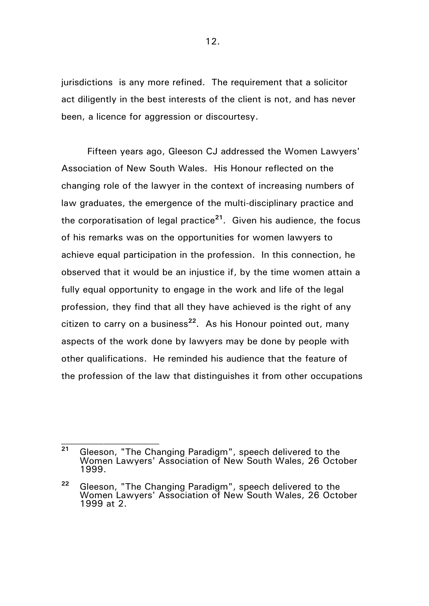jurisdictions is any more refined. The requirement that a solicitor act diligently in the best interests of the client is not, and has never been, a licence for aggression or discourtesy.

Fifteen years ago, Gleeson CJ addressed the Women Lawyers' Association of New South Wales. His Honour reflected on the changing role of the lawyer in the context of increasing numbers of law graduates, the emergence of the multi-disciplinary practice and the corporatisation of legal practice**<sup>21</sup>**. Given his audience, the focus of his remarks was on the opportunities for women lawyers to achieve equal participation in the profession. In this connection, he observed that it would be an injustice if, by the time women attain a fully equal opportunity to engage in the work and life of the legal profession, they find that all they have achieved is the right of any citizen to carry on a business**<sup>22</sup>** . As his Honour pointed out, many aspects of the work done by lawyers may be done by people with other qualifications. He reminded his audience that the feature of the profession of the law that distinguishes it from other occupations

**<sup>21</sup>** Gleeson, "The Changing Paradigm", speech delivered to the Women Lawyers' Association of New South Wales, 26 October 1999.

**<sup>22</sup>** Gleeson, "The Changing Paradigm", speech delivered to the Women Lawyers' Association of New South Wales, 26 October 1999 at 2.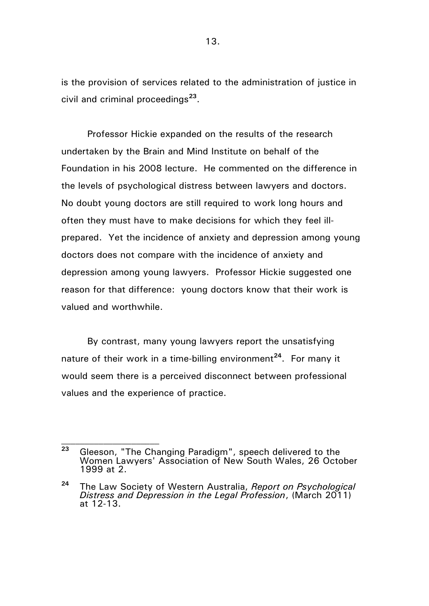is the provision of services related to the administration of justice in civil and criminal proceedings**<sup>23</sup>** .

Professor Hickie expanded on the results of the research undertaken by the Brain and Mind Institute on behalf of the Foundation in his 2008 lecture. He commented on the difference in the levels of psychological distress between lawyers and doctors. No doubt young doctors are still required to work long hours and often they must have to make decisions for which they feel illprepared. Yet the incidence of anxiety and depression among young doctors does not compare with the incidence of anxiety and depression among young lawyers. Professor Hickie suggested one reason for that difference: young doctors know that their work is valued and worthwhile.

By contrast, many young lawyers report the unsatisfying nature of their work in a time-billing environment**<sup>24</sup>**. For many it would seem there is a perceived disconnect between professional values and the experience of practice.

**<sup>23</sup>** Gleeson, "The Changing Paradigm", speech delivered to the Women Lawyers' Association of New South Wales, 26 October 1999 at 2.

**<sup>24</sup>** The Law Society of Western Australia, *Report on Psychological Distress and Depression in the Legal Profession*, (March 2011) at 12-13.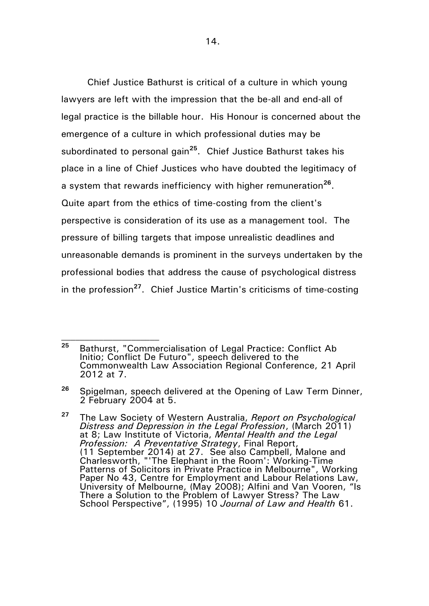Chief Justice Bathurst is critical of a culture in which young lawyers are left with the impression that the be-all and end-all of legal practice is the billable hour. His Honour is concerned about the emergence of a culture in which professional duties may be subordinated to personal gain**<sup>25</sup>** . Chief Justice Bathurst takes his place in a line of Chief Justices who have doubted the legitimacy of a system that rewards inefficiency with higher remuneration**<sup>26</sup>** . Quite apart from the ethics of time-costing from the client's perspective is consideration of its use as a management tool. The pressure of billing targets that impose unrealistic deadlines and unreasonable demands is prominent in the surveys undertaken by the professional bodies that address the cause of psychological distress in the profession**<sup>27</sup>** . Chief Justice Martin's criticisms of time-costing

**<sup>25</sup>** Bathurst, "Commercialisation of Legal Practice: Conflict Ab Initio; Conflict De Futuro", speech delivered to the Commonwealth Law Association Regional Conference, 21 April 2012 at 7.

**<sup>26</sup>** Spigelman, speech delivered at the Opening of Law Term Dinner, 2 February 2004 at 5.

**<sup>27</sup>** The Law Society of Western Australia, *Report on Psychological Distress and Depression in the Legal Profession*, (March 2011) at 8; Law Institute of Victoria, *Mental Health and the Legal Profession: A Preventative Strategy*, Final Report, (11 September 2014) at 27. See also Campbell, Malone and Charlesworth, "'The Elephant in the Room': Working-Time Patterns of Solicitors in Private Practice in Melbourne", Working Paper No 43, Centre for Employment and Labour Relations Law, University of Melbourne, (May 2008); Alfini and Van Vooren, "Is There a Solution to the Problem of Lawyer Stress? The Law School Perspective", (1995) 10 *Journal of Law and Health* 61.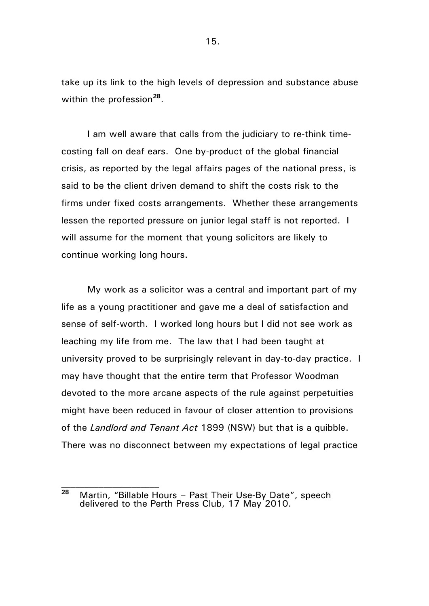take up its link to the high levels of depression and substance abuse within the profession<sup>28</sup>.

I am well aware that calls from the judiciary to re-think timecosting fall on deaf ears. One by-product of the global financial crisis, as reported by the legal affairs pages of the national press, is said to be the client driven demand to shift the costs risk to the firms under fixed costs arrangements. Whether these arrangements lessen the reported pressure on junior legal staff is not reported. I will assume for the moment that young solicitors are likely to continue working long hours.

My work as a solicitor was a central and important part of my life as a young practitioner and gave me a deal of satisfaction and sense of self-worth. I worked long hours but I did not see work as leaching my life from me. The law that I had been taught at university proved to be surprisingly relevant in day-to-day practice. I may have thought that the entire term that Professor Woodman devoted to the more arcane aspects of the rule against perpetuities might have been reduced in favour of closer attention to provisions of the *Landlord and Tenant Act* 1899 (NSW) but that is a quibble. There was no disconnect between my expectations of legal practice

**<sup>28</sup>** Martin, "Billable Hours – Past Their Use-By Date", speech delivered to the Perth Press Club, 17 May 2010.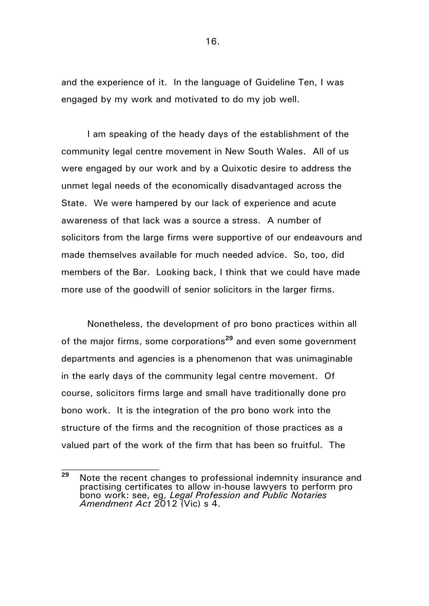and the experience of it. In the language of Guideline Ten, I was engaged by my work and motivated to do my job well.

I am speaking of the heady days of the establishment of the community legal centre movement in New South Wales. All of us were engaged by our work and by a Quixotic desire to address the unmet legal needs of the economically disadvantaged across the State. We were hampered by our lack of experience and acute awareness of that lack was a source a stress. A number of solicitors from the large firms were supportive of our endeavours and made themselves available for much needed advice. So, too, did members of the Bar. Looking back, I think that we could have made more use of the goodwill of senior solicitors in the larger firms.

Nonetheless, the development of pro bono practices within all of the major firms, some corporations**<sup>29</sup>** and even some government departments and agencies is a phenomenon that was unimaginable in the early days of the community legal centre movement. Of course, solicitors firms large and small have traditionally done pro bono work. It is the integration of the pro bono work into the structure of the firms and the recognition of those practices as a valued part of the work of the firm that has been so fruitful. The

**<sup>29</sup>** Note the recent changes to professional indemnity insurance and practising certificates to allow in-house lawyers to perform pro bono work: see, eg, *Legal Profession and Public Notaries Amendment Act* 2012 (Vic) s 4.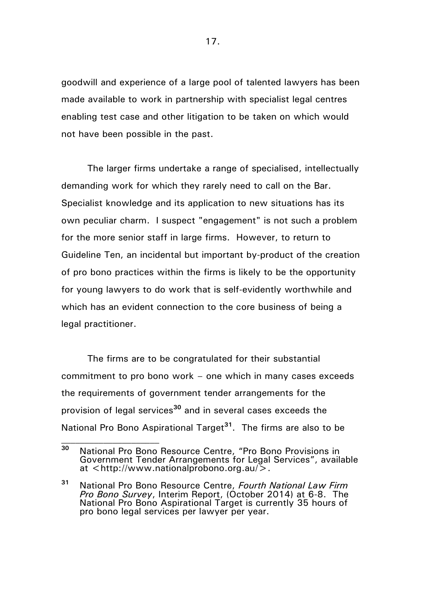goodwill and experience of a large pool of talented lawyers has been made available to work in partnership with specialist legal centres enabling test case and other litigation to be taken on which would not have been possible in the past.

The larger firms undertake a range of specialised, intellectually demanding work for which they rarely need to call on the Bar. Specialist knowledge and its application to new situations has its own peculiar charm. I suspect "engagement" is not such a problem for the more senior staff in large firms. However, to return to Guideline Ten, an incidental but important by-product of the creation of pro bono practices within the firms is likely to be the opportunity for young lawyers to do work that is self-evidently worthwhile and which has an evident connection to the core business of being a legal practitioner.

The firms are to be congratulated for their substantial commitment to pro bono work – one which in many cases exceeds the requirements of government tender arrangements for the provision of legal services**<sup>30</sup>** and in several cases exceeds the National Pro Bono Aspirational Target**<sup>31</sup>** . The firms are also to be

**<sup>30</sup>** National Pro Bono Resource Centre, "Pro Bono Provisions in Government Tender Arrangements for Legal Services", available at <http://www.nationalprobono.org.au/>.

**<sup>31</sup>** National Pro Bono Resource Centre, *Fourth National Law Firm Pro Bono Survey*, Interim Report, (October 2014) at 6-8. The National Pro Bono Aspirational Target is currently 35 hours of pro bono legal services per lawyer per year.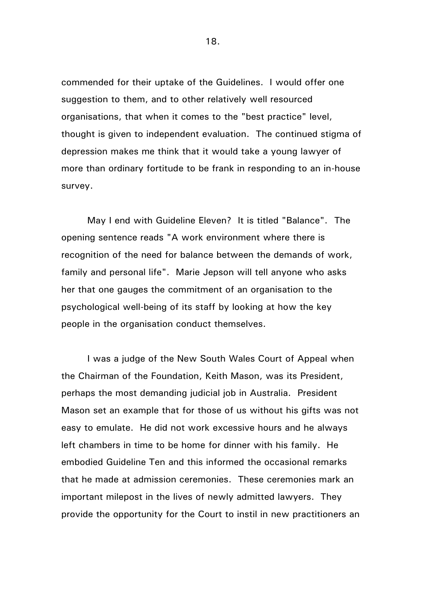commended for their uptake of the Guidelines. I would offer one suggestion to them, and to other relatively well resourced organisations, that when it comes to the "best practice" level, thought is given to independent evaluation. The continued stigma of depression makes me think that it would take a young lawyer of more than ordinary fortitude to be frank in responding to an in-house survey.

May I end with Guideline Eleven? It is titled "Balance". The opening sentence reads "A work environment where there is recognition of the need for balance between the demands of work, family and personal life". Marie Jepson will tell anyone who asks her that one gauges the commitment of an organisation to the psychological well-being of its staff by looking at how the key people in the organisation conduct themselves.

I was a judge of the New South Wales Court of Appeal when the Chairman of the Foundation, Keith Mason, was its President, perhaps the most demanding judicial job in Australia. President Mason set an example that for those of us without his gifts was not easy to emulate. He did not work excessive hours and he always left chambers in time to be home for dinner with his family. He embodied Guideline Ten and this informed the occasional remarks that he made at admission ceremonies. These ceremonies mark an important milepost in the lives of newly admitted lawyers. They provide the opportunity for the Court to instil in new practitioners an